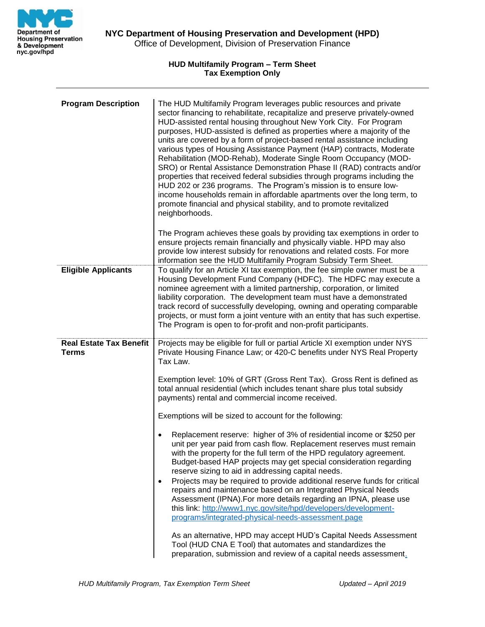

## **HUD Multifamily Program – Term Sheet Tax Exemption Only**

| <b>Program Description</b>                     | The HUD Multifamily Program leverages public resources and private<br>sector financing to rehabilitate, recapitalize and preserve privately-owned<br>HUD-assisted rental housing throughout New York City. For Program<br>purposes, HUD-assisted is defined as properties where a majority of the<br>units are covered by a form of project-based rental assistance including<br>various types of Housing Assistance Payment (HAP) contracts, Moderate<br>Rehabilitation (MOD-Rehab), Moderate Single Room Occupancy (MOD-<br>SRO) or Rental Assistance Demonstration Phase II (RAD) contracts and/or<br>properties that received federal subsidies through programs including the<br>HUD 202 or 236 programs. The Program's mission is to ensure low-<br>income households remain in affordable apartments over the long term, to<br>promote financial and physical stability, and to promote revitalized<br>neighborhoods. |
|------------------------------------------------|------------------------------------------------------------------------------------------------------------------------------------------------------------------------------------------------------------------------------------------------------------------------------------------------------------------------------------------------------------------------------------------------------------------------------------------------------------------------------------------------------------------------------------------------------------------------------------------------------------------------------------------------------------------------------------------------------------------------------------------------------------------------------------------------------------------------------------------------------------------------------------------------------------------------------|
|                                                | The Program achieves these goals by providing tax exemptions in order to<br>ensure projects remain financially and physically viable. HPD may also<br>provide low interest subsidy for renovations and related costs. For more<br>information see the HUD Multifamily Program Subsidy Term Sheet.                                                                                                                                                                                                                                                                                                                                                                                                                                                                                                                                                                                                                            |
| <b>Eligible Applicants</b>                     | To qualify for an Article XI tax exemption, the fee simple owner must be a<br>Housing Development Fund Company (HDFC). The HDFC may execute a<br>nominee agreement with a limited partnership, corporation, or limited<br>liability corporation. The development team must have a demonstrated<br>track record of successfully developing, owning and operating comparable<br>projects, or must form a joint venture with an entity that has such expertise.<br>The Program is open to for-profit and non-profit participants.                                                                                                                                                                                                                                                                                                                                                                                               |
| <b>Real Estate Tax Benefit</b><br><b>Terms</b> | Projects may be eligible for full or partial Article XI exemption under NYS<br>Private Housing Finance Law; or 420-C benefits under NYS Real Property<br>Tax Law.<br>Exemption level: 10% of GRT (Gross Rent Tax). Gross Rent is defined as<br>total annual residential (which includes tenant share plus total subsidy<br>payments) rental and commercial income received.                                                                                                                                                                                                                                                                                                                                                                                                                                                                                                                                                  |
|                                                | Exemptions will be sized to account for the following:                                                                                                                                                                                                                                                                                                                                                                                                                                                                                                                                                                                                                                                                                                                                                                                                                                                                       |
|                                                | Replacement reserve: higher of 3% of residential income or \$250 per<br>unit per year paid from cash flow. Replacement reserves must remain<br>with the property for the full term of the HPD regulatory agreement.<br>Budget-based HAP projects may get special consideration regarding<br>reserve sizing to aid in addressing capital needs.<br>Projects may be required to provide additional reserve funds for critical<br>repairs and maintenance based on an Integrated Physical Needs<br>Assessment (IPNA). For more details regarding an IPNA, please use<br>this link: http://www1.nyc.gov/site/hpd/developers/development-<br>programs/integrated-physical-needs-assessment.page                                                                                                                                                                                                                                   |
|                                                | As an alternative, HPD may accept HUD's Capital Needs Assessment<br>Tool (HUD CNA E Tool) that automates and standardizes the<br>preparation, submission and review of a capital needs assessment.                                                                                                                                                                                                                                                                                                                                                                                                                                                                                                                                                                                                                                                                                                                           |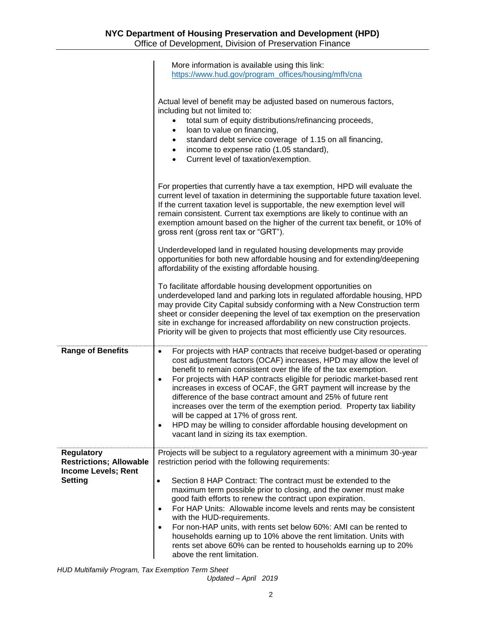|                                                                                              | More information is available using this link:<br>https://www.hud.gov/program_offices/housing/mfh/cna                                                                                                                                                                                                                                                                                                                                                                                                                                                                                                                                                                                                         |
|----------------------------------------------------------------------------------------------|---------------------------------------------------------------------------------------------------------------------------------------------------------------------------------------------------------------------------------------------------------------------------------------------------------------------------------------------------------------------------------------------------------------------------------------------------------------------------------------------------------------------------------------------------------------------------------------------------------------------------------------------------------------------------------------------------------------|
|                                                                                              | Actual level of benefit may be adjusted based on numerous factors,<br>including but not limited to:<br>total sum of equity distributions/refinancing proceeds,<br>loan to value on financing,<br>$\bullet$<br>standard debt service coverage of 1.15 on all financing,<br>$\bullet$<br>income to expense ratio (1.05 standard),<br>$\bullet$<br>Current level of taxation/exemption.<br>$\bullet$                                                                                                                                                                                                                                                                                                             |
|                                                                                              | For properties that currently have a tax exemption, HPD will evaluate the<br>current level of taxation in determining the supportable future taxation level.<br>If the current taxation level is supportable, the new exemption level will<br>remain consistent. Current tax exemptions are likely to continue with an<br>exemption amount based on the higher of the current tax benefit, or 10% of<br>gross rent (gross rent tax or "GRT").                                                                                                                                                                                                                                                                 |
|                                                                                              | Underdeveloped land in regulated housing developments may provide<br>opportunities for both new affordable housing and for extending/deepening<br>affordability of the existing affordable housing.                                                                                                                                                                                                                                                                                                                                                                                                                                                                                                           |
|                                                                                              | To facilitate affordable housing development opportunities on<br>underdeveloped land and parking lots in regulated affordable housing, HPD<br>may provide City Capital subsidy conforming with a New Construction term<br>sheet or consider deepening the level of tax exemption on the preservation<br>site in exchange for increased affordability on new construction projects.<br>Priority will be given to projects that most efficiently use City resources.                                                                                                                                                                                                                                            |
| <b>Range of Benefits</b>                                                                     | For projects with HAP contracts that receive budget-based or operating<br>$\bullet$<br>cost adjustment factors (OCAF) increases, HPD may allow the level of<br>benefit to remain consistent over the life of the tax exemption.<br>For projects with HAP contracts eligible for periodic market-based rent<br>$\bullet$<br>increases in excess of OCAF, the GRT payment will increase by the<br>difference of the base contract amount and 25% of future rent<br>increases over the term of the exemption period. Property tax liability<br>will be capped at 17% of gross rent.<br>HPD may be willing to consider affordable housing development on<br>$\bullet$<br>vacant land in sizing its tax exemption. |
| <b>Regulatory</b><br><b>Restrictions; Allowable</b><br><b>Income Levels; Rent</b><br>Setting | Projects will be subject to a regulatory agreement with a minimum 30-year<br>restriction period with the following requirements:<br>Section 8 HAP Contract: The contract must be extended to the<br>$\bullet$                                                                                                                                                                                                                                                                                                                                                                                                                                                                                                 |
|                                                                                              | maximum term possible prior to closing, and the owner must make<br>good faith efforts to renew the contract upon expiration.<br>For HAP Units: Allowable income levels and rents may be consistent<br>$\bullet$<br>with the HUD-requirements.                                                                                                                                                                                                                                                                                                                                                                                                                                                                 |
|                                                                                              | For non-HAP units, with rents set below 60%: AMI can be rented to<br>$\bullet$<br>households earning up to 10% above the rent limitation. Units with<br>rents set above 60% can be rented to households earning up to 20%<br>above the rent limitation.                                                                                                                                                                                                                                                                                                                                                                                                                                                       |

*HUD Multifamily Program, Tax Exemption Term Sheet*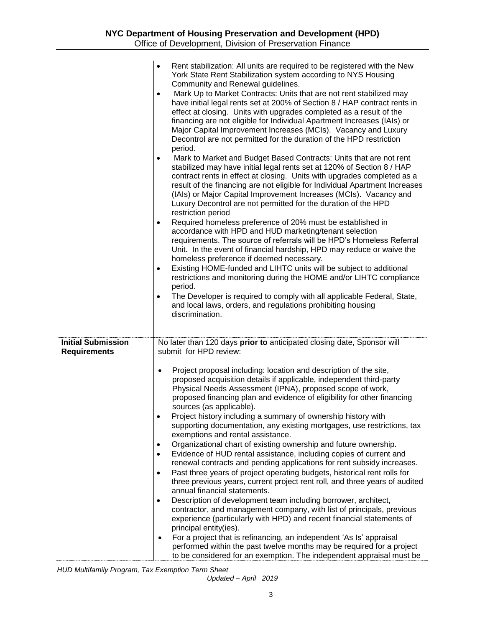|                                                  | Rent stabilization: All units are required to be registered with the New<br>$\bullet$<br>York State Rent Stabilization system according to NYS Housing<br>Community and Renewal guidelines.<br>Mark Up to Market Contracts: Units that are not rent stabilized may<br>$\bullet$<br>have initial legal rents set at 200% of Section 8 / HAP contract rents in<br>effect at closing. Units with upgrades completed as a result of the<br>financing are not eligible for Individual Apartment Increases (IAIs) or<br>Major Capital Improvement Increases (MCIs). Vacancy and Luxury<br>Decontrol are not permitted for the duration of the HPD restriction<br>period.<br>Mark to Market and Budget Based Contracts: Units that are not rent<br>$\bullet$<br>stabilized may have initial legal rents set at 120% of Section 8 / HAP<br>contract rents in effect at closing. Units with upgrades completed as a<br>result of the financing are not eligible for Individual Apartment Increases<br>(IAIs) or Major Capital Improvement Increases (MCIs). Vacancy and<br>Luxury Decontrol are not permitted for the duration of the HPD<br>restriction period<br>Required homeless preference of 20% must be established in<br>$\bullet$<br>accordance with HPD and HUD marketing/tenant selection<br>requirements. The source of referrals will be HPD's Homeless Referral<br>Unit. In the event of financial hardship, HPD may reduce or waive the<br>homeless preference if deemed necessary.<br>Existing HOME-funded and LIHTC units will be subject to additional<br>$\bullet$<br>restrictions and monitoring during the HOME and/or LIHTC compliance<br>period.<br>The Developer is required to comply with all applicable Federal, State,<br>$\bullet$<br>and local laws, orders, and regulations prohibiting housing<br>discrimination. |
|--------------------------------------------------|------------------------------------------------------------------------------------------------------------------------------------------------------------------------------------------------------------------------------------------------------------------------------------------------------------------------------------------------------------------------------------------------------------------------------------------------------------------------------------------------------------------------------------------------------------------------------------------------------------------------------------------------------------------------------------------------------------------------------------------------------------------------------------------------------------------------------------------------------------------------------------------------------------------------------------------------------------------------------------------------------------------------------------------------------------------------------------------------------------------------------------------------------------------------------------------------------------------------------------------------------------------------------------------------------------------------------------------------------------------------------------------------------------------------------------------------------------------------------------------------------------------------------------------------------------------------------------------------------------------------------------------------------------------------------------------------------------------------------------------------------------------------------------------------------------------------------------------|
| <b>Initial Submission</b><br><b>Requirements</b> | No later than 120 days prior to anticipated closing date, Sponsor will<br>submit for HPD review:<br>Project proposal including: location and description of the site,<br>$\bullet$<br>proposed acquisition details if applicable, independent third-party<br>Physical Needs Assessment (IPNA), proposed scope of work,<br>proposed financing plan and evidence of eligibility for other financing<br>sources (as applicable).<br>Project history including a summary of ownership history with<br>supporting documentation, any existing mortgages, use restrictions, tax<br>exemptions and rental assistance.<br>Organizational chart of existing ownership and future ownership.<br>$\bullet$<br>Evidence of HUD rental assistance, including copies of current and<br>$\bullet$<br>renewal contracts and pending applications for rent subsidy increases.<br>Past three years of project operating budgets, historical rent rolls for<br>$\bullet$<br>three previous years, current project rent roll, and three years of audited<br>annual financial statements.<br>Description of development team including borrower, architect,<br>$\bullet$<br>contractor, and management company, with list of principals, previous<br>experience (particularly with HPD) and recent financial statements of<br>principal entity(ies).<br>For a project that is refinancing, an independent 'As Is' appraisal<br>$\bullet$<br>performed within the past twelve months may be required for a project<br>to be considered for an exemption. The independent appraisal must be                                                                                                                                                                                                                                                                     |

*HUD Multifamily Program, Tax Exemption Term Sheet*

*Updated – April 2019*